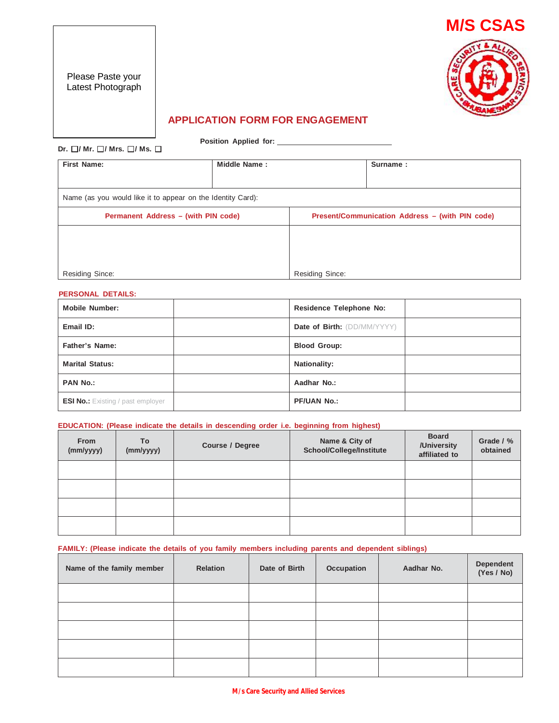Please Paste your Latest Photograph



## **APPLICATION FORM FOR ENGAGEMENT**

**Position Applied for:**

**Dr.**  $\Box$ / **Mr.**  $\Box$ / **Mrs.**  $\Box$ / **Ms.**  $\Box$ 

**First Name: Middle Name : Surname :** Name (as you would like it to appear on the Identity Card): **Permanent Address – (with PIN code) Present/Communication Address – (with PIN code)** Residing Since: Residing Since:

### **PERSONAL DETAILS:**

| <b>Mobile Number:</b>                    | <b>Residence Telephone No:</b> |
|------------------------------------------|--------------------------------|
| Email ID:                                | Date of Birth: (DD/MM/YYYY)    |
| <b>Father's Name:</b>                    | <b>Blood Group:</b>            |
| <b>Marital Status:</b>                   | <b>Nationality:</b>            |
| <b>PAN No.:</b>                          | Aadhar No.:                    |
| <b>ESI No.:</b> Existing / past employer | <b>PF/UAN No.:</b>             |

#### **EDUCATION: (Please indicate the details in descending order i.e. beginning from highest)**

| From<br>(mm/yyyy) | <b>To</b><br>(mm/yyyy) | Course / Degree | Name & City of<br>School/College/Institute | <b>Board</b><br>/University<br>affiliated to | Grade / %<br>obtained |
|-------------------|------------------------|-----------------|--------------------------------------------|----------------------------------------------|-----------------------|
|                   |                        |                 |                                            |                                              |                       |
|                   |                        |                 |                                            |                                              |                       |
|                   |                        |                 |                                            |                                              |                       |
|                   |                        |                 |                                            |                                              |                       |

### **FAMILY: (Please indicate the details of you family members including parents and dependent siblings)**

| Name of the family member | <b>Relation</b> | Date of Birth | Occupation | Aadhar No. | Dependent<br>(Yes / No) |
|---------------------------|-----------------|---------------|------------|------------|-------------------------|
|                           |                 |               |            |            |                         |
|                           |                 |               |            |            |                         |
|                           |                 |               |            |            |                         |
|                           |                 |               |            |            |                         |
|                           |                 |               |            |            |                         |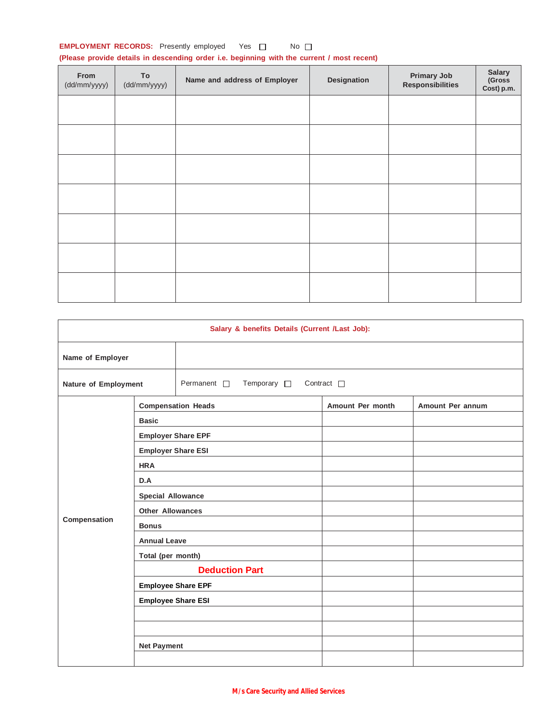## **EMPLOYMENT RECORDS:** Presently employed Yes  $\Box$  No  $\Box$

## **(Please provide details in descending order i.e. beginning with the current / most recent)**

| From<br>(dd/mm/yyyy) | To<br>(dd/mm/yyyy) | Name and address of Employer | Designation | <b>Primary Job</b><br><b>Responsibilities</b> | <b>Salary</b><br>(Gross<br>Cost) p.m. |
|----------------------|--------------------|------------------------------|-------------|-----------------------------------------------|---------------------------------------|
|                      |                    |                              |             |                                               |                                       |
|                      |                    |                              |             |                                               |                                       |
|                      |                    |                              |             |                                               |                                       |
|                      |                    |                              |             |                                               |                                       |
|                      |                    |                              |             |                                               |                                       |
|                      |                    |                              |             |                                               |                                       |
|                      |                    |                              |             |                                               |                                       |

|                      | Salary & benefits Details (Current /Last Job): |                                               |                    |                  |  |  |
|----------------------|------------------------------------------------|-----------------------------------------------|--------------------|------------------|--|--|
| Name of Employer     |                                                |                                               |                    |                  |  |  |
| Nature of Employment |                                                | Permanent <sup>[]</sup><br>Temporary <b>D</b> | Contract $\square$ |                  |  |  |
|                      |                                                | <b>Compensation Heads</b>                     | Amount Per month   | Amount Per annum |  |  |
|                      | <b>Basic</b>                                   |                                               |                    |                  |  |  |
|                      |                                                | <b>Employer Share EPF</b>                     |                    |                  |  |  |
|                      |                                                | <b>Employer Share ESI</b>                     |                    |                  |  |  |
|                      | <b>HRA</b>                                     |                                               |                    |                  |  |  |
|                      | D.A                                            |                                               |                    |                  |  |  |
|                      | <b>Special Allowance</b>                       |                                               |                    |                  |  |  |
|                      | <b>Other Allowances</b>                        |                                               |                    |                  |  |  |
| Compensation         | <b>Bonus</b>                                   |                                               |                    |                  |  |  |
|                      | <b>Annual Leave</b>                            |                                               |                    |                  |  |  |
|                      | Total (per month)                              |                                               |                    |                  |  |  |
|                      |                                                | <b>Deduction Part</b>                         |                    |                  |  |  |
|                      |                                                | <b>Employee Share EPF</b>                     |                    |                  |  |  |
|                      |                                                | <b>Employee Share ESI</b>                     |                    |                  |  |  |
|                      |                                                |                                               |                    |                  |  |  |
|                      |                                                |                                               |                    |                  |  |  |
|                      | <b>Net Payment</b>                             |                                               |                    |                  |  |  |
|                      |                                                |                                               |                    |                  |  |  |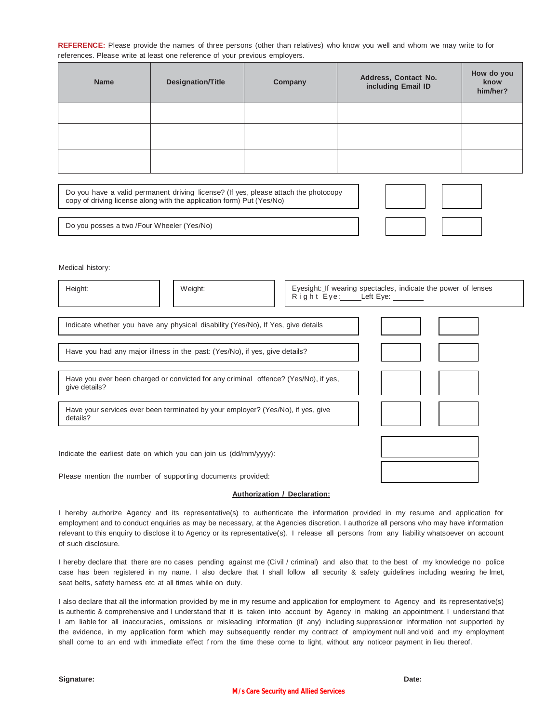**REFERENCE:** Please provide the names of three persons (other than relatives) who know you well and whom we may write to for references. Please write at least one reference of your previous employers.

| <b>Name</b> | <b>Designation/Title</b> | Company | Address, Contact No.<br>including Email ID | How do you<br>know<br>him/her? |
|-------------|--------------------------|---------|--------------------------------------------|--------------------------------|
|             |                          |         |                                            |                                |
|             |                          |         |                                            |                                |
|             |                          |         |                                            |                                |
|             |                          |         |                                            |                                |

Do you have a valid permanent driving license? (If yes, please attach the photocopy copy of driving license along with the application form) Put (Yes/No)

Do you posses a two /Four Wheeler (Yes/No)

Medical history:

| Eyesight: If wearing spectacles, indicate the power of lenses<br>Height:<br>Weight:<br>Right Eye: Left Eye: |  |
|-------------------------------------------------------------------------------------------------------------|--|
| Indicate whether you have any physical disability (Yes/No), If Yes, give details                            |  |
| Have you had any major illness in the past: (Yes/No), if yes, give details?                                 |  |
| Have you ever been charged or convicted for any criminal offence? (Yes/No), if yes,<br>give details?        |  |
| Have your services ever been terminated by your employer? (Yes/No), if yes, give<br>details?                |  |
| Indicate the earliest date on which you can join us (dd/mm/yyyy):                                           |  |

PIease mention the number of supporting documents provided:

#### **Authorization / Declaration:**

I hereby authorize Agency and its representative(s) to authenticate the information provided in my resume and application for employment and to conduct enquiries as may be necessary, at the Agencies discretion. I authorize all persons who may have information relevant to this enquiry to disclose it to Agency or its representative(s). I release all persons from any liability whatsoever on account of such disclosure.

I hereby declare that there are no cases pending against me (Civil / criminal) and also that to the best of my knowledge no police case has been registered in my name. I also declare that I shall follow all security & safety guidelines including wearing he lmet, seat belts, safety harness etc at all times while on duty.

I also declare that all the information provided by me in my resume and application for employment to Agency and its representative(s) is authentic & comprehensive and I understand that it is taken into account by Agency in making an appointment. I understand that I am liable for all inaccuracies, omissions or misleading information (if any) including suppressionor information not supported by the evidence, in my application form which may subsequently render my contract of employment null and void and my employment shall come to an end with immediate effect f rom the time these come to light, without any noticeor payment in lieu thereof.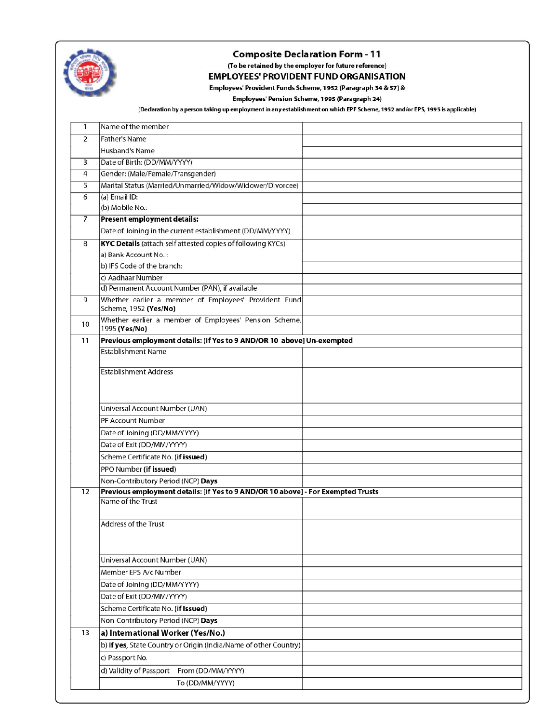

### **Composite Declaration Form - 11**

(To be retained by the employer for future reference)

# **EMPLOYEES' PROVIDENT FUND ORGANISATION**

Employees' Provident Funds Scheme, 1952 (Paragraph 34 & 57) &

Employees' Pension Scheme, 1995 (Paragraph 24)

(Declaration by a person taking up employment in any establishment on which EPF Scheme, 1952 and/or EPS, 1995 is applicable)

| 1               | Name of the member                                                               |  |
|-----------------|----------------------------------------------------------------------------------|--|
| 2               | <b>Father's Name</b>                                                             |  |
|                 | Husband's Name                                                                   |  |
| 3               | Date of Birth: (DD/MM/YYYY)                                                      |  |
| $\overline{4}$  | Gender: (Male/Female/Transgender)                                                |  |
| 5               | Marital Status (Married/Unmarried/Widow/Widower/Divorcee)                        |  |
| 6               | (a) Email ID:                                                                    |  |
|                 | (b) Mobile No.:                                                                  |  |
| $\overline{7}$  | Present employment details:                                                      |  |
|                 | Date of Joining in the current establishment (DD/MM/YYYY)                        |  |
| 8               | <b>KYC Details</b> (attach self attested copies of following KYCs)               |  |
|                 | a) Bank Account No.:                                                             |  |
|                 | b) IFS Code of the branch:                                                       |  |
|                 | c) Aadhaar Number                                                                |  |
|                 | d) Permanent Account Number (PAN), if available                                  |  |
| 9               | Whether earlier a member of Employees' Provident Fund<br>Scheme, 1952 (Yes/No)   |  |
| 10              | Whether earlier a member of Employees' Pension Scheme,<br>1995 (Yes/No)          |  |
| 11              | Previous employment details: (If Yes to 9 AND/OR 10 above] Un-exempted           |  |
|                 | <b>Establishment Name</b>                                                        |  |
|                 |                                                                                  |  |
|                 | <b>Establishment Address</b>                                                     |  |
|                 |                                                                                  |  |
|                 |                                                                                  |  |
|                 | Universal Account Number (UAN)<br>PF Account Number                              |  |
|                 | Date of Joining (DD/MM/YYYY)                                                     |  |
|                 | Date of Exit (DD/MM/YYYY)                                                        |  |
|                 | Scheme Certificate No. (if issued)                                               |  |
|                 | PPO Number (if issued)                                                           |  |
|                 | Non-Contributory Period (NCP) Days                                               |  |
| $\overline{12}$ | Previous employment details: [if Yes to 9 AND/OR 10 above] - For Exempted Trusts |  |
|                 | Name of the Trust                                                                |  |
|                 |                                                                                  |  |
|                 | Address of the Trust                                                             |  |
|                 |                                                                                  |  |
|                 |                                                                                  |  |
|                 | Universal Account Number (UAN)                                                   |  |
|                 | Member EPS A/c Number                                                            |  |
|                 | Date of Joining (DD/MM/YYYY)                                                     |  |
|                 | Date of Exit (DD/MM/YYYY)                                                        |  |
|                 | Scheme Certificate No. (if Issued)                                               |  |
|                 | Non-Contributory Period (NCP) Days                                               |  |
| 13              | a) International Worker (Yes/No.)                                                |  |
|                 | b) If yes, State Country or Origin (India/Name of other Country)                 |  |
|                 | c) Passport No.                                                                  |  |
|                 | d) Validity of Passport From (DD/MM/YYYY)                                        |  |
|                 | To (DD/MM/YYYY)                                                                  |  |
|                 |                                                                                  |  |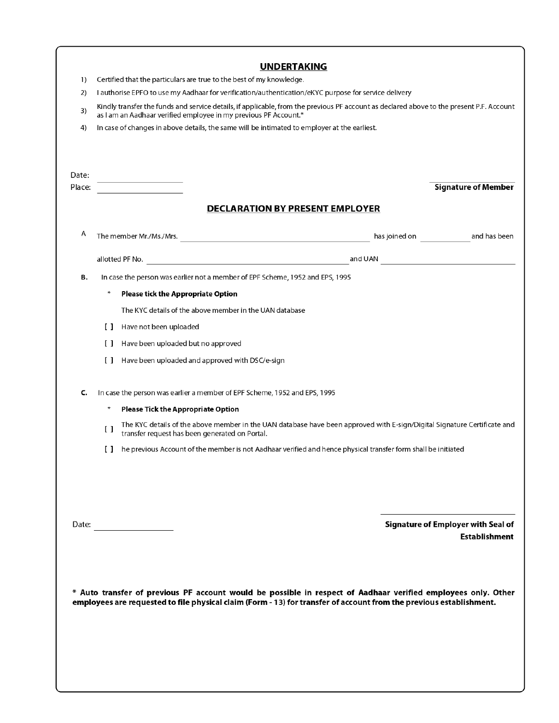|        |                                                                                                                                                                                                                                                                                                                      |                            |                                                                                              | <b>UNDERTAKING</b>                     |                                                                                                                          |                                    |  |  |
|--------|----------------------------------------------------------------------------------------------------------------------------------------------------------------------------------------------------------------------------------------------------------------------------------------------------------------------|----------------------------|----------------------------------------------------------------------------------------------|----------------------------------------|--------------------------------------------------------------------------------------------------------------------------|------------------------------------|--|--|
| 1)     |                                                                                                                                                                                                                                                                                                                      |                            | Certified that the particulars are true to the best of my knowledge.                         |                                        |                                                                                                                          |                                    |  |  |
| 2)     | I authorise EPFO to use my Aadhaar for verification/authentication/eKYC purpose for service delivery<br>Kindly transfer the funds and service details, if applicable, from the previous PF account as declared above to the present P.F. Account<br>as I am an Aadhaar verified employee in my previous PF Account.* |                            |                                                                                              |                                        |                                                                                                                          |                                    |  |  |
| 3)     |                                                                                                                                                                                                                                                                                                                      |                            |                                                                                              |                                        |                                                                                                                          |                                    |  |  |
| 4)     |                                                                                                                                                                                                                                                                                                                      |                            | In case of changes in above details, the same will be intimated to employer at the earliest. |                                        |                                                                                                                          |                                    |  |  |
| Date:  |                                                                                                                                                                                                                                                                                                                      |                            |                                                                                              |                                        |                                                                                                                          |                                    |  |  |
| Place: |                                                                                                                                                                                                                                                                                                                      |                            |                                                                                              | <b>DECLARATION BY PRESENT EMPLOYER</b> |                                                                                                                          | <b>Signature of Member</b>         |  |  |
|        |                                                                                                                                                                                                                                                                                                                      |                            |                                                                                              |                                        |                                                                                                                          |                                    |  |  |
| A      |                                                                                                                                                                                                                                                                                                                      |                            |                                                                                              |                                        |                                                                                                                          |                                    |  |  |
|        |                                                                                                                                                                                                                                                                                                                      |                            |                                                                                              |                                        |                                                                                                                          |                                    |  |  |
| в.     |                                                                                                                                                                                                                                                                                                                      |                            | In case the person was earlier not a member of EPF Scheme, 1952 and EPS, 1995                |                                        |                                                                                                                          |                                    |  |  |
|        |                                                                                                                                                                                                                                                                                                                      |                            | <b>Please tick the Appropriate Option</b>                                                    |                                        |                                                                                                                          |                                    |  |  |
|        |                                                                                                                                                                                                                                                                                                                      |                            | The KYC details of the above member in the UAN database                                      |                                        |                                                                                                                          |                                    |  |  |
|        |                                                                                                                                                                                                                                                                                                                      | [ ] Have not been uploaded |                                                                                              |                                        |                                                                                                                          |                                    |  |  |
|        | $\Box$                                                                                                                                                                                                                                                                                                               |                            | Have been uploaded but no approved                                                           |                                        |                                                                                                                          |                                    |  |  |
|        |                                                                                                                                                                                                                                                                                                                      |                            | [] Have been uploaded and approved with DSC/e-sign                                           |                                        |                                                                                                                          |                                    |  |  |
| C.     |                                                                                                                                                                                                                                                                                                                      |                            | In case the person was earlier a member of EPF Scheme, 1952 and EPS, 1995                    |                                        |                                                                                                                          |                                    |  |  |
|        |                                                                                                                                                                                                                                                                                                                      |                            | <b>Please Tick the Appropriate Option</b>                                                    |                                        |                                                                                                                          |                                    |  |  |
|        | $\left[ \begin{array}{c} 1 \end{array} \right]$                                                                                                                                                                                                                                                                      |                            | transfer request has been generated on Portal.                                               |                                        | The KYC details of the above member in the UAN database have been approved with E-sign/Digital Signature Certificate and |                                    |  |  |
|        | $\Box$                                                                                                                                                                                                                                                                                                               |                            |                                                                                              |                                        | he previous Account of the member is not Aadhaar verified and hence physical transfer form shall be initiated            |                                    |  |  |
|        |                                                                                                                                                                                                                                                                                                                      |                            |                                                                                              |                                        |                                                                                                                          |                                    |  |  |
|        |                                                                                                                                                                                                                                                                                                                      | Date:                      |                                                                                              |                                        |                                                                                                                          | Signature of Employer with Seal of |  |  |
|        |                                                                                                                                                                                                                                                                                                                      |                            |                                                                                              |                                        |                                                                                                                          | <b>Establishment</b>               |  |  |
|        |                                                                                                                                                                                                                                                                                                                      |                            |                                                                                              |                                        |                                                                                                                          |                                    |  |  |
|        |                                                                                                                                                                                                                                                                                                                      |                            |                                                                                              |                                        |                                                                                                                          |                                    |  |  |
|        |                                                                                                                                                                                                                                                                                                                      |                            |                                                                                              |                                        | * Auto transfer of previous PF account would be possible in respect of Aadhaar verified employees only. Other            |                                    |  |  |
|        |                                                                                                                                                                                                                                                                                                                      |                            |                                                                                              |                                        | employees are requested to file physical claim (Form - 13) for transfer of account from the previous establishment.      |                                    |  |  |
|        |                                                                                                                                                                                                                                                                                                                      |                            |                                                                                              |                                        |                                                                                                                          |                                    |  |  |
|        |                                                                                                                                                                                                                                                                                                                      |                            |                                                                                              |                                        |                                                                                                                          |                                    |  |  |
|        |                                                                                                                                                                                                                                                                                                                      |                            |                                                                                              |                                        |                                                                                                                          |                                    |  |  |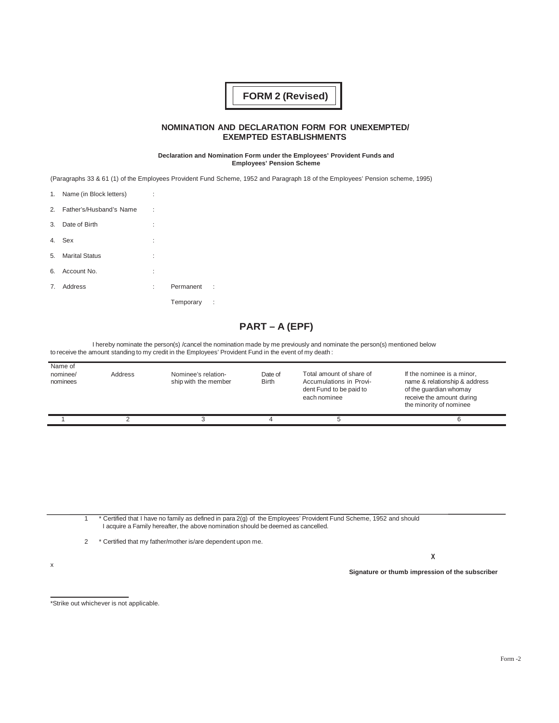# **FORM 2 (Revised)**

### **NOMINATION AND DECLARATION FORM FOR UNEXEMPTED/ EXEMPTED ESTABLISHMENTS**

**Declaration and Nomination Form under the Employees' Provident Funds and Employees' Pension Scheme**

(Paragraphs 33 & 61 (1) of the Employees Provident Fund Scheme, 1952 and Paragraph 18 of the EmpIoyees' Pension scheme, 1995)

|    | 1. Name (in Block letters) | ÷ |           |     |
|----|----------------------------|---|-----------|-----|
|    | 2. Father's/Husband's Name | ÷ |           |     |
| 3. | Date of Birth              | ÷ |           |     |
| 4. | Sex                        | ÷ |           |     |
|    | 5. Marital Status          | ÷ |           |     |
|    | 6. Account No.             | ÷ |           |     |
| 7. | Address                    | t | Permanent | ÷   |
|    |                            |   | Temporary | - 1 |
|    |                            |   |           |     |

# **PART – A (EPF)**

I hereby nominate the person(s) /cancel the nomination made by me previously and nominate the person(s) mentioned below to receive the amount standing to my credit in the EmpIoyees' Provident Fund in the event of my death :

| Name of<br>nominee/<br>nominees | Address | Nominee's relation-<br>ship with the member | Date of<br><b>Birth</b> | Total amount of share of<br>Accumulations in Provi-<br>dent Fund to be paid to<br>each nominee | If the nominee is a minor,<br>name & relationship & address<br>of the quardian whomay<br>receive the amount during<br>the minority of nominee |
|---------------------------------|---------|---------------------------------------------|-------------------------|------------------------------------------------------------------------------------------------|-----------------------------------------------------------------------------------------------------------------------------------------------|
|                                 |         |                                             |                         |                                                                                                |                                                                                                                                               |

1 \* Certified that I have no family as defined in para 2(g) of the EmpIoyees' Provident Fund Scheme, 1952 and should I acquire a Family hereafter, the above nomination should be deemed as cancelled.

2 \* Certified that my father/mother is/are dependent upon me.

**X**

**Signature or thumb impression of the subscriber**

\*Strike out whichever is not applicable.

x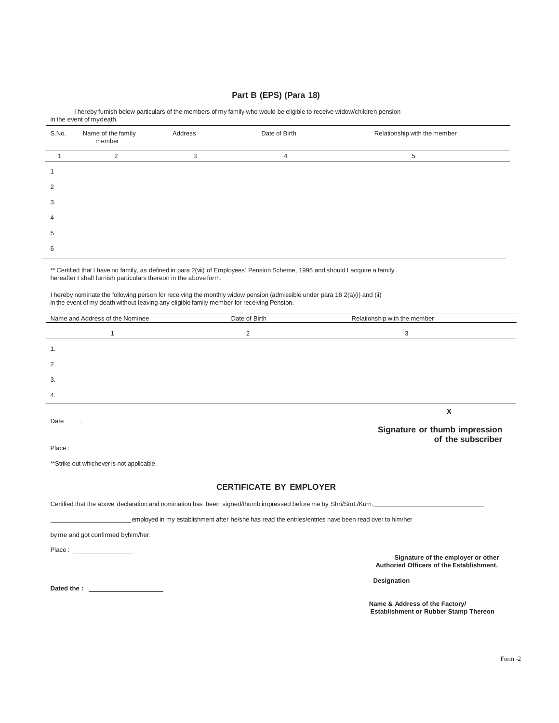## **Part B (EPS) (Para 18)**

|       | in the event of mydeath.     |         |                |                              |  |  |
|-------|------------------------------|---------|----------------|------------------------------|--|--|
| S.No. | Name of the family<br>member | Address | Date of Birth  | Relationship with the member |  |  |
|       | 2                            | 3       | $\overline{4}$ | 5                            |  |  |
|       |                              |         |                |                              |  |  |
| 2     |                              |         |                |                              |  |  |
| 3     |                              |         |                |                              |  |  |
| 4     |                              |         |                |                              |  |  |
| 5     |                              |         |                |                              |  |  |
| 6     |                              |         |                |                              |  |  |

I hereby furnish below particulars of the members of my family who would be eligible to receive widow/children pension

\*\* Certified that I have no family, as defined in para 2(vii) of Employees' Pension Scheme, 1995 and should I acquire a family hereafter I shall furnish particulars thereon in the above form.

I hereby nominate the following person for receiving the monthly widow pension (admissible under para 16 2(a)(i) and (ii) in the event of my death without leaving any eligible family member for receiving Pension.

| Name and Address of the Nominee                                                                                                                                                                                                | Date of Birth                                                                                         | Relationship with the member                                                                                    |
|--------------------------------------------------------------------------------------------------------------------------------------------------------------------------------------------------------------------------------|-------------------------------------------------------------------------------------------------------|-----------------------------------------------------------------------------------------------------------------|
| 1                                                                                                                                                                                                                              | $\overline{2}$                                                                                        | 3                                                                                                               |
| 1.                                                                                                                                                                                                                             |                                                                                                       |                                                                                                                 |
| 2.                                                                                                                                                                                                                             |                                                                                                       |                                                                                                                 |
| 3.                                                                                                                                                                                                                             |                                                                                                       |                                                                                                                 |
| 4.                                                                                                                                                                                                                             |                                                                                                       |                                                                                                                 |
|                                                                                                                                                                                                                                |                                                                                                       | X                                                                                                               |
| Date                                                                                                                                                                                                                           |                                                                                                       | Signature or thumb impression                                                                                   |
| Place:                                                                                                                                                                                                                         |                                                                                                       | of the subscriber                                                                                               |
| **Strike out whichever is not applicable.                                                                                                                                                                                      |                                                                                                       |                                                                                                                 |
|                                                                                                                                                                                                                                | <b>CERTIFICATE BY EMPLOYER</b>                                                                        |                                                                                                                 |
|                                                                                                                                                                                                                                |                                                                                                       | Certified that the above declaration and nomination has been signed/thumb impressed before me by Shri/Smt./Kum. |
|                                                                                                                                                                                                                                | employed in my establishment after he/she has read the entries/entries have been read over to him/her |                                                                                                                 |
| by me and got confirmed byhim/her.                                                                                                                                                                                             |                                                                                                       |                                                                                                                 |
| Place: The contract of the contract of the contract of the contract of the contract of the contract of the contract of the contract of the contract of the contract of the contract of the contract of the contract of the con |                                                                                                       |                                                                                                                 |
|                                                                                                                                                                                                                                |                                                                                                       | Signature of the employer or other<br>Authoried Officers of the Establishment.                                  |
|                                                                                                                                                                                                                                |                                                                                                       | Designation                                                                                                     |
| Dated the : and the state of the state of the state of the state of the state of the state of the state of the state of the state of the state of the state of the state of the state of the state of the state of the state o |                                                                                                       |                                                                                                                 |
|                                                                                                                                                                                                                                |                                                                                                       | Name & Address of the Factory/<br><b>Establishment or Rubber Stamp Thereon</b>                                  |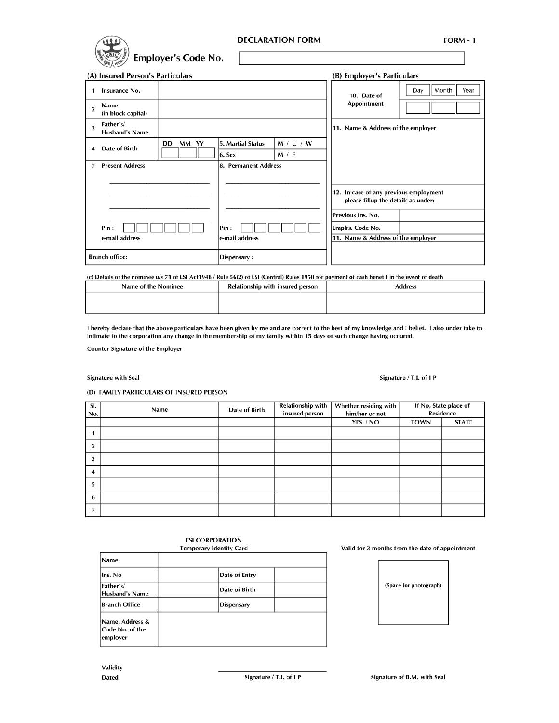

(A) Insured Person's Particulars

| (A) Insured Person's Particulars |                                    |                        | (B) Employer's Particulars |                                                                                |                                    |                      |  |
|----------------------------------|------------------------------------|------------------------|----------------------------|--------------------------------------------------------------------------------|------------------------------------|----------------------|--|
| 1                                | Insurance No.                      |                        |                            |                                                                                | 10. Date of                        | Month<br>Day<br>Year |  |
| $\overline{2}$                   | Name<br>(in block capital)         |                        |                            |                                                                                | Appointment                        |                      |  |
| 3                                | Father's/<br><b>Husband's Name</b> |                        |                            |                                                                                | 11. Name & Address of the employer |                      |  |
| 4                                | Date of Birth                      | DD<br>MM YY            | 5. Martial Status          | M / U / W                                                                      |                                    |                      |  |
|                                  |                                    |                        | 6. Sex                     | M / F                                                                          |                                    |                      |  |
| 7                                | <b>Present Address</b>             | 8. Permanent Address   |                            |                                                                                |                                    |                      |  |
|                                  |                                    |                        |                            |                                                                                |                                    |                      |  |
| Pin :<br>e-mail address          |                                    |                        |                            | 12. In case of any previous employment<br>please fillup the details as under:- |                                    |                      |  |
|                                  |                                    |                        |                            | Previous Ins. No.                                                              |                                    |                      |  |
|                                  |                                    | Pin:<br>e-mail address |                            | Emplrs. Code No.                                                               |                                    |                      |  |
|                                  |                                    |                        |                            | 11. Name & Address of the employer                                             |                                    |                      |  |
|                                  |                                    |                        |                            |                                                                                |                                    |                      |  |
| <b>Branch office:</b>            |                                    | Dispensary:            |                            |                                                                                |                                    |                      |  |

(c) Details of the nominee u/s 71 of ESI Act1948 / Rule 56(2) of ESI (Central) Rules 1950 for payment of cash benefit in the event of death

| Name of the Nominee | Relationship with insured person | <b>Address</b> |
|---------------------|----------------------------------|----------------|
|                     |                                  |                |

I hereby declare that the above particulars have been given by me and are correct to the best of my knowledge and I belief. I also under take to intimate to the corporation any change in the membership of my family within 15 days of such change having occured.

Counter Signature of the Employer

#### Signature with Seal

Signature / T.I. of I P

(D) FAMILY PARTICULARS OF INSURED PERSON

| SI.<br>No. | Name | Date of Birth | <b>Relationship with</b><br>insured person | Whether residing with<br>him/her or not |             | If No, State place of<br>Residence |
|------------|------|---------------|--------------------------------------------|-----------------------------------------|-------------|------------------------------------|
|            |      |               |                                            | YES / NO                                | <b>TOWN</b> | <b>STATE</b>                       |
|            |      |               |                                            |                                         |             |                                    |
|            |      |               |                                            |                                         |             |                                    |
| 3          |      |               |                                            |                                         |             |                                    |
|            |      |               |                                            |                                         |             |                                    |
| 5          |      |               |                                            |                                         |             |                                    |
| 6          |      |               |                                            |                                         |             |                                    |
|            |      |               |                                            |                                         |             |                                    |

#### **ESI CORPORATION Temporary Identity Card**

| Name                                           |                   |
|------------------------------------------------|-------------------|
| Ins. No                                        | Date of Entry     |
| Father's/<br><b>Husband's Name</b>             | Date of Birth     |
| <b>Branch Office</b>                           | <b>Dispensary</b> |
| Name, Address &<br>Code No. of the<br>employer |                   |

Valid for 3 months from the date of appointment

| (Space for photograph) |
|------------------------|
|                        |